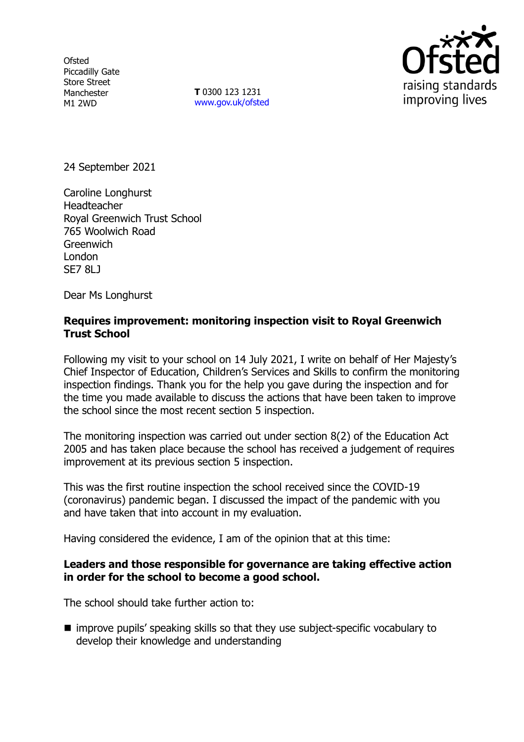**Ofsted** Piccadilly Gate Store Street Manchester M1 2WD

**T** 0300 123 1231 [www.gov.uk/ofsted](http://www.gov.uk/ofsted)



24 September 2021

Caroline Longhurst Headteacher Royal Greenwich Trust School 765 Woolwich Road **Greenwich** London SE7 8LJ

Dear Ms Longhurst

## **Requires improvement: monitoring inspection visit to Royal Greenwich Trust School**

Following my visit to your school on 14 July 2021, I write on behalf of Her Majesty's Chief Inspector of Education, Children's Services and Skills to confirm the monitoring inspection findings. Thank you for the help you gave during the inspection and for the time you made available to discuss the actions that have been taken to improve the school since the most recent section 5 inspection.

The monitoring inspection was carried out under section 8(2) of the Education Act 2005 and has taken place because the school has received a judgement of requires improvement at its previous section 5 inspection.

This was the first routine inspection the school received since the COVID-19 (coronavirus) pandemic began. I discussed the impact of the pandemic with you and have taken that into account in my evaluation.

Having considered the evidence, I am of the opinion that at this time:

## **Leaders and those responsible for governance are taking effective action in order for the school to become a good school.**

The school should take further action to:

■ improve pupils' speaking skills so that they use subject-specific vocabulary to develop their knowledge and understanding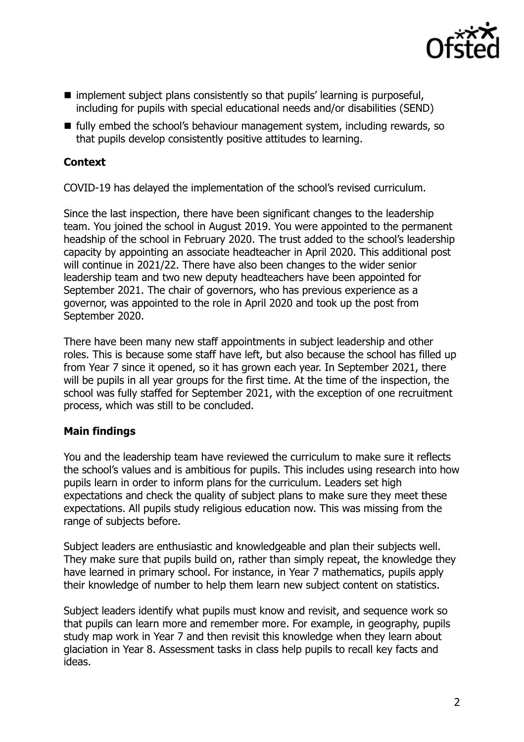

- implement subject plans consistently so that pupils' learning is purposeful, including for pupils with special educational needs and/or disabilities (SEND)
- $\blacksquare$  fully embed the school's behaviour management system, including rewards, so that pupils develop consistently positive attitudes to learning.

# **Context**

COVID-19 has delayed the implementation of the school's revised curriculum.

Since the last inspection, there have been significant changes to the leadership team. You joined the school in August 2019. You were appointed to the permanent headship of the school in February 2020. The trust added to the school's leadership capacity by appointing an associate headteacher in April 2020. This additional post will continue in 2021/22. There have also been changes to the wider senior leadership team and two new deputy headteachers have been appointed for September 2021. The chair of governors, who has previous experience as a governor, was appointed to the role in April 2020 and took up the post from September 2020.

There have been many new staff appointments in subject leadership and other roles. This is because some staff have left, but also because the school has filled up from Year 7 since it opened, so it has grown each year. In September 2021, there will be pupils in all year groups for the first time. At the time of the inspection, the school was fully staffed for September 2021, with the exception of one recruitment process, which was still to be concluded.

## **Main findings**

You and the leadership team have reviewed the curriculum to make sure it reflects the school's values and is ambitious for pupils. This includes using research into how pupils learn in order to inform plans for the curriculum. Leaders set high expectations and check the quality of subject plans to make sure they meet these expectations. All pupils study religious education now. This was missing from the range of subjects before.

Subject leaders are enthusiastic and knowledgeable and plan their subjects well. They make sure that pupils build on, rather than simply repeat, the knowledge they have learned in primary school. For instance, in Year 7 mathematics, pupils apply their knowledge of number to help them learn new subject content on statistics.

Subject leaders identify what pupils must know and revisit, and sequence work so that pupils can learn more and remember more. For example, in geography, pupils study map work in Year 7 and then revisit this knowledge when they learn about glaciation in Year 8. Assessment tasks in class help pupils to recall key facts and ideas.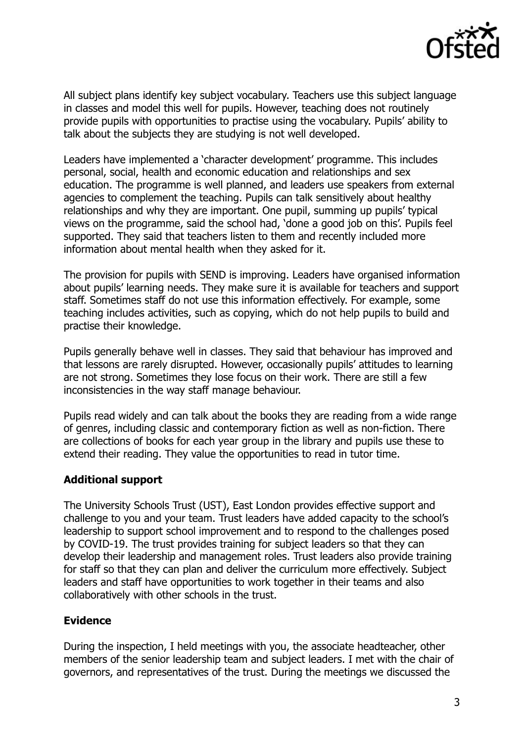

All subject plans identify key subject vocabulary. Teachers use this subject language in classes and model this well for pupils. However, teaching does not routinely provide pupils with opportunities to practise using the vocabulary. Pupils' ability to talk about the subjects they are studying is not well developed.

Leaders have implemented a 'character development' programme. This includes personal, social, health and economic education and relationships and sex education. The programme is well planned, and leaders use speakers from external agencies to complement the teaching. Pupils can talk sensitively about healthy relationships and why they are important. One pupil, summing up pupils' typical views on the programme, said the school had, 'done a good job on this'. Pupils feel supported. They said that teachers listen to them and recently included more information about mental health when they asked for it.

The provision for pupils with SEND is improving. Leaders have organised information about pupils' learning needs. They make sure it is available for teachers and support staff. Sometimes staff do not use this information effectively. For example, some teaching includes activities, such as copying, which do not help pupils to build and practise their knowledge.

Pupils generally behave well in classes. They said that behaviour has improved and that lessons are rarely disrupted. However, occasionally pupils' attitudes to learning are not strong. Sometimes they lose focus on their work. There are still a few inconsistencies in the way staff manage behaviour.

Pupils read widely and can talk about the books they are reading from a wide range of genres, including classic and contemporary fiction as well as non-fiction. There are collections of books for each year group in the library and pupils use these to extend their reading. They value the opportunities to read in tutor time.

## **Additional support**

The University Schools Trust (UST), East London provides effective support and challenge to you and your team. Trust leaders have added capacity to the school's leadership to support school improvement and to respond to the challenges posed by COVID-19. The trust provides training for subject leaders so that they can develop their leadership and management roles. Trust leaders also provide training for staff so that they can plan and deliver the curriculum more effectively. Subject leaders and staff have opportunities to work together in their teams and also collaboratively with other schools in the trust.

## **Evidence**

During the inspection, I held meetings with you, the associate headteacher, other members of the senior leadership team and subject leaders. I met with the chair of governors, and representatives of the trust. During the meetings we discussed the